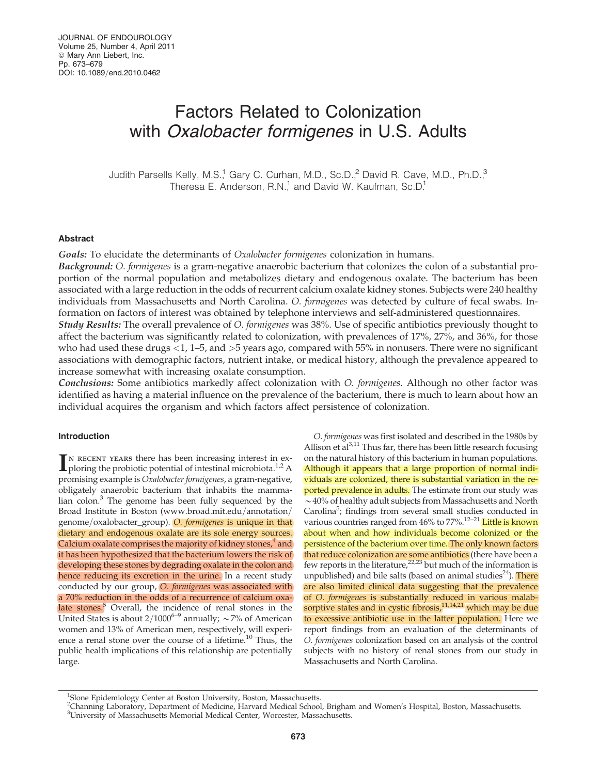# Factors Related to Colonization with Oxalobacter formigenes in U.S. Adults

Judith Parsells Kelly, M.S.<sup>1</sup> Gary C. Curhan, M.D., Sc.D.,<sup>2</sup> David R. Cave, M.D., Ph.D.,<sup>3</sup> Theresa E. Anderson, R.N.<sup>1</sup> and David W. Kaufman, Sc.D.<sup>1</sup>

#### Abstract

Goals: To elucidate the determinants of *Oxalobacter formigenes* colonization in humans.

Background: O. formigenes is a gram-negative anaerobic bacterium that colonizes the colon of a substantial proportion of the normal population and metabolizes dietary and endogenous oxalate. The bacterium has been associated with a large reduction in the odds of recurrent calcium oxalate kidney stones. Subjects were 240 healthy individuals from Massachusetts and North Carolina. O. formigenes was detected by culture of fecal swabs. Information on factors of interest was obtained by telephone interviews and self-administered questionnaires.

Study Results: The overall prevalence of O. formigenes was 38%. Use of specific antibiotics previously thought to affect the bacterium was significantly related to colonization, with prevalences of 17%, 27%, and 36%, for those who had used these drugs <1, 1–5, and >5 years ago, compared with 55% in nonusers. There were no significant associations with demographic factors, nutrient intake, or medical history, although the prevalence appeared to increase somewhat with increasing oxalate consumption.

Conclusions: Some antibiotics markedly affect colonization with O. formigenes. Although no other factor was identified as having a material influence on the prevalence of the bacterium, there is much to learn about how an individual acquires the organism and which factors affect persistence of colonization.

# Introduction

 $\prod$ <sup>N</sup> RECENT YEARS there has been increasing interest in ex-<br>ploring the probiotic potential of intestinal microbiota.<sup>1,2</sup> A ploring the probiotic potential of intestinal microbiota.<sup>1,2</sup> A promising example is Oxalobacter formigenes, a gram-negative, obligately anaerobic bacterium that inhabits the mammalian colon. $3$  The genome has been fully sequenced by the Broad Institute in Boston (www.broad.mit.edu/annotation/ genome/oxalobacter\_group). O. formigenes is unique in that dietary and endogenous oxalate are its sole energy sources. Calcium oxalate comprises the majority of kidney stones, $4$  and it has been hypothesized that the bacterium lowers the risk of developing these stones by degrading oxalate in the colon and hence reducing its excretion in the urine. In a recent study conducted by our group, O. formigenes was associated with a 70% reduction in the odds of a recurrence of calcium oxalate stones.<sup>5</sup> Overall, the incidence of renal stones in the United States is about  $2/1000^{6-9}$  annually;  $\sim$  7% of American women and 13% of American men, respectively, will experience a renal stone over the course of a lifetime. $10$  Thus, the public health implications of this relationship are potentially large.

O. formigenes was first isolated and described in the 1980s by Allison et  $al^{3,11}$  Thus far, there has been little research focusing on the natural history of this bacterium in human populations. Although it appears that a large proportion of normal individuals are colonized, there is substantial variation in the reported prevalence in adults. The estimate from our study was  $\sim$  40% of healthy adult subjects from Massachusetts and North Carolina<sup>5</sup>; findings from several small studies conducted in various countries ranged from 46% to 77%.<sup>12–21</sup> Little is known about when and how individuals become colonized or the persistence of the bacterium over time. The only known factors that reduce colonization are some antibiotics (there have been a few reports in the literature, $22,23$  but much of the information is unpublished) and bile salts (based on animal studies $^{24}$ ). There are also limited clinical data suggesting that the prevalence of O. formigenes is substantially reduced in various malabsorptive states and in cystic fibrosis, $11,14,21$  which may be due to excessive antibiotic use in the latter population. Here we report findings from an evaluation of the determinants of O. formigenes colonization based on an analysis of the control subjects with no history of renal stones from our study in Massachusetts and North Carolina.

<sup>&</sup>lt;sup>1</sup>Slone Epidemiology Center at Boston University, Boston, Massachusetts.

<sup>2</sup> Channing Laboratory, Department of Medicine, Harvard Medical School, Brigham and Women's Hospital, Boston, Massachusetts. <sup>3</sup>University of Massachusetts Memorial Medical Center, Worcester, Massachusetts.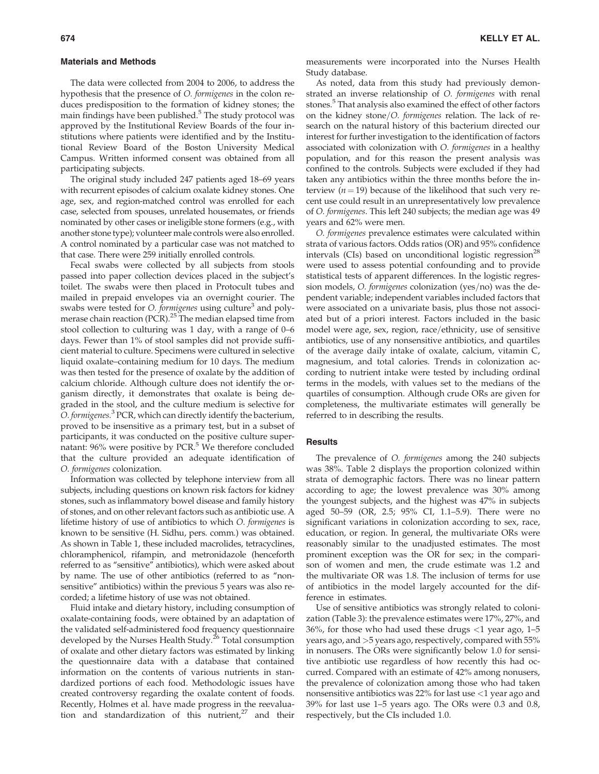#### Materials and Methods

The data were collected from 2004 to 2006, to address the hypothesis that the presence of O. formigenes in the colon reduces predisposition to the formation of kidney stones; the main findings have been published. $5$  The study protocol was approved by the Institutional Review Boards of the four institutions where patients were identified and by the Institutional Review Board of the Boston University Medical Campus. Written informed consent was obtained from all participating subjects.

The original study included 247 patients aged 18–69 years with recurrent episodes of calcium oxalate kidney stones. One age, sex, and region-matched control was enrolled for each case, selected from spouses, unrelated housemates, or friends nominated by other cases or ineligible stone formers (e.g., with another stone type); volunteer male controls were also enrolled. A control nominated by a particular case was not matched to that case. There were 259 initially enrolled controls.

Fecal swabs were collected by all subjects from stools passed into paper collection devices placed in the subject's toilet. The swabs were then placed in Protocult tubes and mailed in prepaid envelopes via an overnight courier. The swabs were tested for *O. formigenes* using culture<sup>3</sup> and polymerase chain reaction (PCR).<sup>25</sup> The median elapsed time from stool collection to culturing was 1 day, with a range of 0–6 days. Fewer than 1% of stool samples did not provide sufficient material to culture. Specimens were cultured in selective liquid oxalate–containing medium for 10 days. The medium was then tested for the presence of oxalate by the addition of calcium chloride. Although culture does not identify the organism directly, it demonstrates that oxalate is being degraded in the stool, and the culture medium is selective for O. formigenes.<sup>3</sup> PCR, which can directly identify the bacterium, proved to be insensitive as a primary test, but in a subset of participants, it was conducted on the positive culture supernatant:  $96\%$  were positive by PCR.<sup>5</sup> We therefore concluded that the culture provided an adequate identification of O. formigenes colonization.

Information was collected by telephone interview from all subjects, including questions on known risk factors for kidney stones, such as inflammatory bowel disease and family history of stones, and on other relevant factors such as antibiotic use. A lifetime history of use of antibiotics to which O. formigenes is known to be sensitive (H. Sidhu, pers. comm.) was obtained. As shown in Table 1, these included macrolides, tetracyclines, chloramphenicol, rifampin, and metronidazole (henceforth referred to as ''sensitive'' antibiotics), which were asked about by name. The use of other antibiotics (referred to as ''nonsensitive'' antibiotics) within the previous 5 years was also recorded; a lifetime history of use was not obtained.

Fluid intake and dietary history, including consumption of oxalate-containing foods, were obtained by an adaptation of the validated self-administered food frequency questionnaire developed by the Nurses Health Study.<sup>26</sup> Total consumption of oxalate and other dietary factors was estimated by linking the questionnaire data with a database that contained information on the contents of various nutrients in standardized portions of each food. Methodologic issues have created controversy regarding the oxalate content of foods. Recently, Holmes et al. have made progress in the reevaluation and standardization of this nutrient, $27$  and their measurements were incorporated into the Nurses Health Study database.

As noted, data from this study had previously demonstrated an inverse relationship of O. formigenes with renal stones.<sup>5</sup> That analysis also examined the effect of other factors on the kidney stone/O. formigenes relation. The lack of research on the natural history of this bacterium directed our interest for further investigation to the identification of factors associated with colonization with O. formigenes in a healthy population, and for this reason the present analysis was confined to the controls. Subjects were excluded if they had taken any antibiotics within the three months before the interview ( $n = 19$ ) because of the likelihood that such very recent use could result in an unrepresentatively low prevalence of O. formigenes. This left 240 subjects; the median age was 49 years and 62% were men.

O. formigenes prevalence estimates were calculated within strata of various factors. Odds ratios (OR) and 95% confidence intervals (CIs) based on unconditional logistic regression<sup>28</sup> were used to assess potential confounding and to provide statistical tests of apparent differences. In the logistic regression models,  $O.$  formigenes colonization (yes/no) was the dependent variable; independent variables included factors that were associated on a univariate basis, plus those not associated but of a priori interest. Factors included in the basic model were age, sex, region, race/ethnicity, use of sensitive antibiotics, use of any nonsensitive antibiotics, and quartiles of the average daily intake of oxalate, calcium, vitamin C, magnesium, and total calories. Trends in colonization according to nutrient intake were tested by including ordinal terms in the models, with values set to the medians of the quartiles of consumption. Although crude ORs are given for completeness, the multivariate estimates will generally be referred to in describing the results.

## **Results**

The prevalence of *O. formigenes* among the 240 subjects was 38%. Table 2 displays the proportion colonized within strata of demographic factors. There was no linear pattern according to age; the lowest prevalence was 30% among the youngest subjects, and the highest was 47% in subjects aged 50–59 (OR, 2.5; 95% CI, 1.1–5.9). There were no significant variations in colonization according to sex, race, education, or region. In general, the multivariate ORs were reasonably similar to the unadjusted estimates. The most prominent exception was the OR for sex; in the comparison of women and men, the crude estimate was 1.2 and the multivariate OR was 1.8. The inclusion of terms for use of antibiotics in the model largely accounted for the difference in estimates.

Use of sensitive antibiotics was strongly related to colonization (Table 3): the prevalence estimates were 17%, 27%, and 36%, for those who had used these drugs  $\langle 1 \rangle$  year ago, 1–5 years ago, and >5 years ago, respectively, compared with 55% in nonusers. The ORs were significantly below 1.0 for sensitive antibiotic use regardless of how recently this had occurred. Compared with an estimate of 42% among nonusers, the prevalence of colonization among those who had taken nonsensitive antibiotics was 22% for last use <1 year ago and 39% for last use 1–5 years ago. The ORs were 0.3 and 0.8, respectively, but the CIs included 1.0.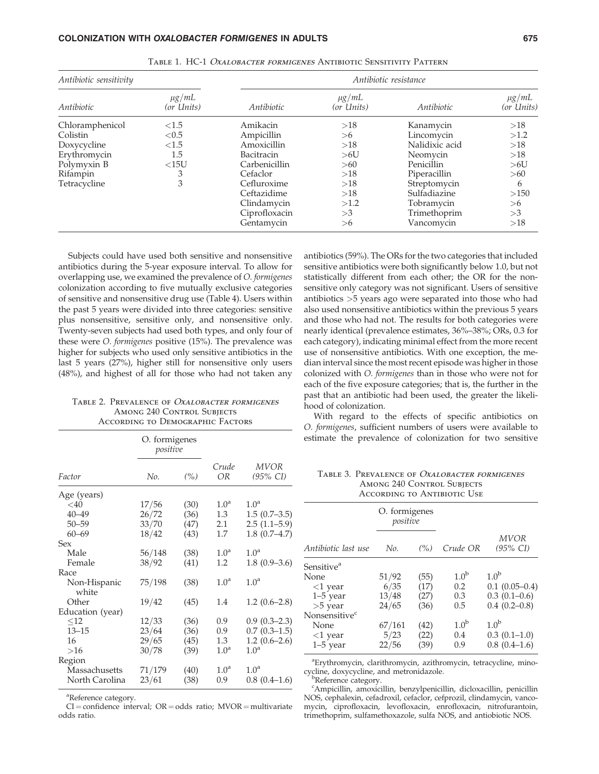| Antibiotic sensitivity  |                          | Antibiotic resistance |                          |                |                          |  |
|-------------------------|--------------------------|-----------------------|--------------------------|----------------|--------------------------|--|
| Antibiotic              | $\mu$ g/mL<br>(or Units) | Antibiotic            | $\mu$ g/mL<br>(or Units) | Antibiotic     | $\mu$ g/mL<br>(or Units) |  |
| Chloramphenicol         | ${<}1.5$                 | Amikacin              | >18                      | Kanamycin      | >18                      |  |
| Colistin                | < 0.5                    | Ampicillin            | >6                       | Lincomycin     | >1.2                     |  |
| ${<}1.5$<br>Doxycycline |                          | Amoxicillin<br>>18    |                          | Nalidixic acid | >18                      |  |
| Erythromycin            | 1.5                      | Bacitracin            | >6U                      | Neomycin       | >18                      |  |
| Polymyxin B             | <15U                     | Carbenicillin         | >60                      | Penicillin     | >6U                      |  |
| Rifampin                | 3                        | Cefaclor              | >18                      | Piperacillin   | >60                      |  |
| Tetracycline            | 3                        | Cefluroxime           | >18                      | Streptomycin   | 6                        |  |
|                         |                          | Ceftazidime           | >18                      | Sulfadiazine   | >150                     |  |
|                         |                          | Clindamycin           | >1.2                     | Tobramycin     | >16                      |  |
|                         |                          | Ciprofloxacin         | >3                       | Trimethoprim   | >3                       |  |
|                         |                          | Gentamycin            | >16                      | Vancomycin     | >18                      |  |

Table 1. HC-1 Oxalobacter formigenes Antibiotic Sensitivity Pattern

Subjects could have used both sensitive and nonsensitive antibiotics during the 5-year exposure interval. To allow for overlapping use, we examined the prevalence of O. formigenes colonization according to five mutually exclusive categories of sensitive and nonsensitive drug use (Table 4). Users within the past 5 years were divided into three categories: sensitive plus nonsensitive, sensitive only, and nonsensitive only. Twenty-seven subjects had used both types, and only four of these were O. formigenes positive (15%). The prevalence was higher for subjects who used only sensitive antibiotics in the last 5 years (27%), higher still for nonsensitive only users (48%), and highest of all for those who had not taken any

TABLE 2. PREVALENCE OF OXALOBACTER FORMIGENES **AMONG 240 CONTROL SUBJECTS** According to Demographic Factors

|                       | O. formigenes<br>positive |      |                  |                               |
|-----------------------|---------------------------|------|------------------|-------------------------------|
| Factor                | No.                       | (%)  | Crude<br>OR      | MVOR<br>$(95\% \; \text{CI})$ |
| Age (years)           |                           |      |                  |                               |
| $<$ 40                | 17/56                     | (30) | 1.0 <sup>a</sup> | 1.0 <sup>a</sup>              |
| $40 - 49$             | 26/72                     | (36) | 1.3              | $1.5(0.7-3.5)$                |
| $50 - 59$             | 33/70                     | (47) | 2.1              | $2.5(1.1-5.9)$                |
| $60 - 69$             | 18/42                     | (43) | 1.7              | $1.8(0.7-4.7)$                |
| Sex                   |                           |      |                  |                               |
| Male                  | 56/148                    | (38) | 1.0 <sup>a</sup> | 1.0 <sup>a</sup>              |
| Female                | 38/92                     | (41) | 1.2              | $1.8(0.9-3.6)$                |
| Race                  |                           |      |                  |                               |
| Non-Hispanic<br>white | 75/198                    | (38) | 1.0 <sup>a</sup> | 1.0 <sup>a</sup>              |
| Other                 | 19/42                     | (45) | 1.4              | $1.2(0.6-2.8)$                |
| Education (year)      |                           |      |                  |                               |
| $<$ 12                | 12/33                     | (36) | 0.9              | $0.9(0.3-2.3)$                |
| $13 - 15$             | 23/64                     | (36) | 0.9              | $0.7(0.3-1.5)$                |
| 16                    | 29/65                     | (45) | 1.3              | $1.2(0.6-2.6)$                |
| >16                   | 30/78                     | (39) | 1.0 <sup>a</sup> | 1.0 <sup>a</sup>              |
| Region                |                           |      |                  |                               |
| Massachusetts         | 71/179                    | (40) | 1.0 <sup>a</sup> | 1.0 <sup>a</sup>              |
| North Carolina        | 23/61                     | (38) | 0.9              | $0.8(0.4-1.6)$                |

a Reference category.

 $CI =$  confidence interval;  $OR =$  odds ratio;  $MVOR =$  multivariate odds ratio.

antibiotics (59%). The ORs for the two categories that included sensitive antibiotics were both significantly below 1.0, but not statistically different from each other; the OR for the nonsensitive only category was not significant. Users of sensitive antibiotics >5 years ago were separated into those who had also used nonsensitive antibiotics within the previous 5 years and those who had not. The results for both categories were nearly identical (prevalence estimates, 36%–38%; ORs, 0.3 for each category), indicating minimal effect from the more recent use of nonsensitive antibiotics. With one exception, the median interval since the most recent episode was higher in those colonized with O. formigenes than in those who were not for each of the five exposure categories; that is, the further in the past that an antibiotic had been used, the greater the likelihood of colonization.

With regard to the effects of specific antibiotics on O. formigenes, sufficient numbers of users were available to estimate the prevalence of colonization for two sensitive

TABLE 3. PREVALENCE OF OXALOBACTER FORMIGENES **AMONG 240 CONTROL SUBJECTS** According to Antibiotic Use

|                           | O. formigenes<br>positive |      |                  |                                      |
|---------------------------|---------------------------|------|------------------|--------------------------------------|
| Antibiotic last use       | No.                       | (% ) | Crude OR         | <b>MVOR</b><br>$(95\% \; \text{CI})$ |
| Sensitive <sup>a</sup>    |                           |      |                  |                                      |
| None                      | 51/92                     | (55) | 1.0 <sup>b</sup> | 1.0 <sup>b</sup>                     |
| $<$ 1 year                | 6/35                      | (17) | 0.2              | $0.1(0.05-0.4)$                      |
| $1-5$ year                | 13/48                     | (27) | 0.3              | $0.3(0.1-0.6)$                       |
| $>5$ year                 | 24/65                     | (36) | 0.5              | $0.4(0.2-0.8)$                       |
| Nonsensitive <sup>c</sup> |                           |      |                  |                                      |
| None                      | 67/161                    | (42) | 1.0 <sup>b</sup> | $1.0^{b}$                            |
| $<$ 1 year                | 5/23                      | (22) | 0.4              | $0.3(0.1-1.0)$                       |
| $1-5$ year                | 22/56                     | (39) | 0.9              | $0.8(0.4-1.6)$                       |

<sup>a</sup>Erythromycin, clarithromycin, azithromycin, tetracycline, minocycline, doxycycline, and metronidazole. <sup>b</sup>

<sup>b</sup>Reference category.

c Ampicillin, amoxicillin, benzylpenicillin, dicloxacillin, penicillin NOS, cephalexin, cefadroxil, cefaclor, cefprozil, clindamycin, vancomycin, ciprofloxacin, levofloxacin, enrofloxacin, nitrofurantoin, trimethoprim, sulfamethoxazole, sulfa NOS, and antiobiotic NOS.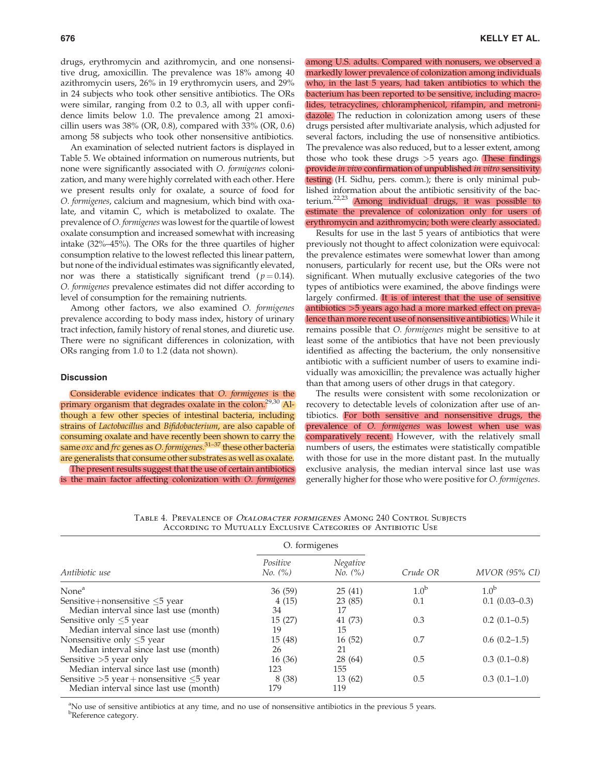drugs, erythromycin and azithromycin, and one nonsensitive drug, amoxicillin. The prevalence was 18% among 40 azithromycin users, 26% in 19 erythromycin users, and 29% in 24 subjects who took other sensitive antibiotics. The ORs were similar, ranging from 0.2 to 0.3, all with upper confidence limits below 1.0. The prevalence among 21 amoxicillin users was  $38\%$  (OR, 0.8), compared with  $33\%$  (OR, 0.6) among 58 subjects who took other nonsensitive antibiotics.

An examination of selected nutrient factors is displayed in Table 5. We obtained information on numerous nutrients, but none were significantly associated with O. formigenes colonization, and many were highly correlated with each other. Here we present results only for oxalate, a source of food for O. formigenes, calcium and magnesium, which bind with oxalate, and vitamin C, which is metabolized to oxalate. The prevalence of O. formigenes was lowest for the quartile of lowest oxalate consumption and increased somewhat with increasing intake (32%–45%). The ORs for the three quartiles of higher consumption relative to the lowest reflected this linear pattern, but none of the individual estimates was significantly elevated, nor was there a statistically significant trend ( $p = 0.14$ ). O. formigenes prevalence estimates did not differ according to level of consumption for the remaining nutrients.

Among other factors, we also examined O. formigenes prevalence according to body mass index, history of urinary tract infection, family history of renal stones, and diuretic use. There were no significant differences in colonization, with ORs ranging from 1.0 to 1.2 (data not shown).

## **Discussion**

Considerable evidence indicates that O. formigenes is the primary organism that degrades oxalate in the colon.<sup>29,30</sup> Although a few other species of intestinal bacteria, including strains of Lactobacillus and Bifidobacterium, are also capable of consuming oxalate and have recently been shown to carry the same  $\alpha x$  and frc genes as O. formigenes.<sup>31–37</sup> these other bacteria are generalists that consume other substrates as well as oxalate.

The present results suggest that the use of certain antibiotics is the main factor affecting colonization with O. formigenes among U.S. adults. Compared with nonusers, we observed a markedly lower prevalence of colonization among individuals who, in the last 5 years, had taken antibiotics to which the bacterium has been reported to be sensitive, including macrolides, tetracyclines, chloramphenicol, rifampin, and metronidazole. The reduction in colonization among users of these drugs persisted after multivariate analysis, which adjusted for several factors, including the use of nonsensitive antibiotics. The prevalence was also reduced, but to a lesser extent, among those who took these drugs  $>5$  years ago. These findings provide in vivo confirmation of unpublished in vitro sensitivity testing (H. Sidhu, pers. comm.); there is only minimal published information about the antibiotic sensitivity of the bacterium.22,23 Among individual drugs, it was possible to estimate the prevalence of colonization only for users of erythromycin and azithromycin; both were clearly associated.

Results for use in the last 5 years of antibiotics that were previously not thought to affect colonization were equivocal: the prevalence estimates were somewhat lower than among nonusers, particularly for recent use, but the ORs were not significant. When mutually exclusive categories of the two types of antibiotics were examined, the above findings were largely confirmed. It is of interest that the use of sensitive antibiotics >5 years ago had a more marked effect on prevalence than more recent use of nonsensitive antibiotics. While it remains possible that O. formigenes might be sensitive to at least some of the antibiotics that have not been previously identified as affecting the bacterium, the only nonsensitive antibiotic with a sufficient number of users to examine individually was amoxicillin; the prevalence was actually higher than that among users of other drugs in that category.

The results were consistent with some recolonization or recovery to detectable levels of colonization after use of antibiotics. For both sensitive and nonsensitive drugs, the prevalence of O. formigenes was lowest when use was comparatively recent. However, with the relatively small numbers of users, the estimates were statistically compatible with those for use in the more distant past. In the mutually exclusive analysis, the median interval since last use was generally higher for those who were positive for O. formigenes.

Table 4. Prevalence of Oxalobacter formigenes Among 240 Control Subjects According to Mutually Exclusive Categories of Antibiotic Use

|                                                  | O. formigenes       |                     |                  |                      |  |
|--------------------------------------------------|---------------------|---------------------|------------------|----------------------|--|
| Antibiotic use                                   | Positive<br>No. (%) | Negative<br>No. (%) | Crude OR         | <b>MVOR (95% CI)</b> |  |
| None <sup>a</sup>                                | 36(59)              | 25(41)              | 1.0 <sup>b</sup> | 1.0 <sup>b</sup>     |  |
| Sensitive+nonsensitive $\leq$ 5 year             | 4(15)               | 23(85)              | 0.1              | $0.1(0.03-0.3)$      |  |
| Median interval since last use (month)           | 34                  | 17                  |                  |                      |  |
| Sensitive only $\leq$ 5 year                     | 15(27)              | 41 (73)             | 0.3              | $0.2(0.1-0.5)$       |  |
| Median interval since last use (month)           | 19                  | 15                  |                  |                      |  |
| Nonsensitive only $\leq$ 5 year                  | 15(48)              | 16(52)              | 0.7              | $0.6(0.2-1.5)$       |  |
| Median interval since last use (month)           | 26                  | 21                  |                  |                      |  |
| Sensitive $>5$ year only                         | 16(36)              | 28 (64)             | 0.5              | $0.3(0.1-0.8)$       |  |
| Median interval since last use (month)           | 123                 | 155                 |                  |                      |  |
| Sensitive $>5$ year + nonsensitive $\leq 5$ year | 8 (38)              | 13(62)              | 0.5              | $0.3(0.1-1.0)$       |  |
| Median interval since last use (month)           | 179                 | 119                 |                  |                      |  |

<sup>a</sup>No use of sensitive antibiotics at any time, and no use of nonsensitive antibiotics in the previous 5 years. <sup>b</sup>Reference category.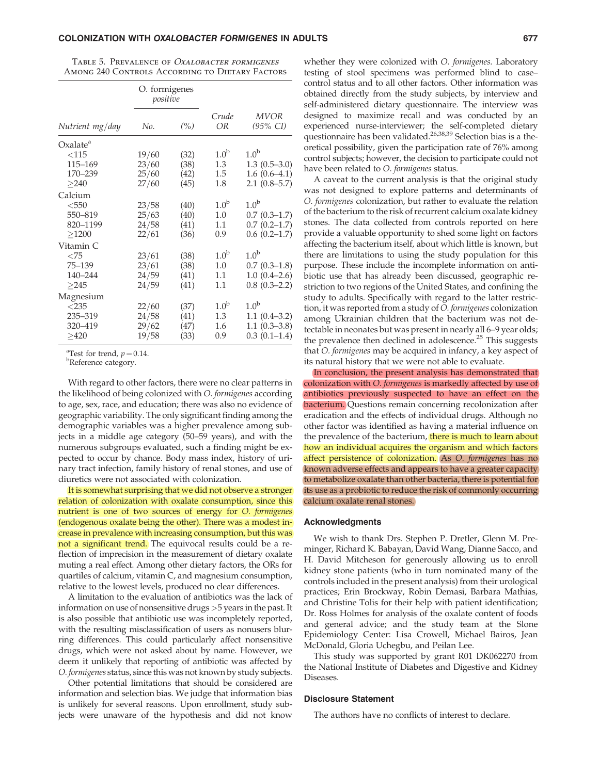TABLE 5. PREVALENCE OF *OXALOBACTER FORMIGENES* Among 240 Controls According to Dietary Factors

|                      | O. formigenes<br>positive |      |                  |                         |
|----------------------|---------------------------|------|------------------|-------------------------|
| Nutrient mg/day      | No.                       | (%)  | Crude<br>OR      | <b>MVOR</b><br>(95% CI) |
| Oxalate <sup>a</sup> |                           |      |                  |                         |
| $<$ 115              | 19/60                     | (32) | 1.0 <sup>b</sup> | 1.0 <sup>b</sup>        |
| 115-169              | 23/60                     | (38) | 1.3              | $1.3(0.5-3.0)$          |
| 170-239              | 25/60                     | (42) | $1.5\,$          | $1.6(0.6-4.1)$          |
| >240                 | 27/60                     | (45) | 1.8              | $2.1(0.8-5.7)$          |
| Calcium              |                           |      |                  |                         |
| $<$ 550              | 23/58                     | (40) | 1.0 <sup>b</sup> | 1.0 <sup>b</sup>        |
| 550-819              | 25/63                     | (40) | 1.0              | $0.7(0.3-1.7)$          |
| 820-1199             | 24/58                     | (41) | 1.1              | $0.7(0.2 - 1.7)$        |
| >1200                | 22/61                     | (36) | 0.9              | $0.6(0.2-1.7)$          |
| Vitamin C            |                           |      |                  |                         |
| $<$ 75               | 23/61                     | (38) | 1.0 <sup>b</sup> | 1.0 <sup>b</sup>        |
| $75 - 139$           | 23/61                     | (38) | 1.0              | $0.7(0.3-1.8)$          |
| 140-244              | 24/59                     | (41) | $1.1\,$          | $1.0(0.4-2.6)$          |
| >245                 | 24/59                     | (41) | 1.1              | $0.8(0.3-2.2)$          |
| Magnesium            |                           |      |                  |                         |
| $<$ 235              | 22/60                     | (37) | 1.0 <sup>b</sup> | 1.0 <sup>b</sup>        |
| 235-319              | 24/58                     | (41) | 1.3              | $1.1(0.4-3.2)$          |
| 320-419              | 29/62                     | (47) | 1.6              | $1.1(0.3-3.8)$          |
| >420                 | 19/58                     | (33) | 0.9              | $0.3(0.1-1.4)$          |

<sup>a</sup>Test for trend,  $p = 0.14$ .

Reference category.

With regard to other factors, there were no clear patterns in the likelihood of being colonized with O. formigenes according to age, sex, race, and education; there was also no evidence of geographic variability. The only significant finding among the demographic variables was a higher prevalence among subjects in a middle age category (50–59 years), and with the numerous subgroups evaluated, such a finding might be expected to occur by chance. Body mass index, history of urinary tract infection, family history of renal stones, and use of diuretics were not associated with colonization.

It is somewhat surprising that we did not observe a stronger relation of colonization with oxalate consumption, since this nutrient is one of two sources of energy for O. formigenes (endogenous oxalate being the other). There was a modest increase in prevalence with increasing consumption, but this was not a significant trend. The equivocal results could be a reflection of imprecision in the measurement of dietary oxalate muting a real effect. Among other dietary factors, the ORs for quartiles of calcium, vitamin C, and magnesium consumption, relative to the lowest levels, produced no clear differences.

A limitation to the evaluation of antibiotics was the lack of information on use of nonsensitive drugs >5 years in the past. It is also possible that antibiotic use was incompletely reported, with the resulting misclassification of users as nonusers blurring differences. This could particularly affect nonsensitive drugs, which were not asked about by name. However, we deem it unlikely that reporting of antibiotic was affected by O. formigenes status, since this was not known by study subjects.

Other potential limitations that should be considered are information and selection bias. We judge that information bias is unlikely for several reasons. Upon enrollment, study subjects were unaware of the hypothesis and did not know

whether they were colonized with O. formigenes. Laboratory testing of stool specimens was performed blind to case– control status and to all other factors. Other information was obtained directly from the study subjects, by interview and self-administered dietary questionnaire. The interview was designed to maximize recall and was conducted by an experienced nurse-interviewer; the self-completed dietary questionnaire has been validated.<sup>26,38,39</sup> Selection bias is a theoretical possibility, given the participation rate of 76% among control subjects; however, the decision to participate could not have been related to O. formigenes status.

A caveat to the current analysis is that the original study was not designed to explore patterns and determinants of O. formigenes colonization, but rather to evaluate the relation of the bacterium to the risk of recurrent calcium oxalate kidney stones. The data collected from controls reported on here provide a valuable opportunity to shed some light on factors affecting the bacterium itself, about which little is known, but there are limitations to using the study population for this purpose. These include the incomplete information on antibiotic use that has already been discussed, geographic restriction to two regions of the United States, and confining the study to adults. Specifically with regard to the latter restriction, it was reported from a study of O. formigenes colonization among Ukrainian children that the bacterium was not detectable in neonates but was present in nearly all 6–9 year olds; the prevalence then declined in adolescence. $25$  This suggests that O. formigenes may be acquired in infancy, a key aspect of its natural history that we were not able to evaluate.

In conclusion, the present analysis has demonstrated that colonization with O. formigenes is markedly affected by use of antibiotics previously suspected to have an effect on the bacterium. Questions remain concerning recolonization after eradication and the effects of individual drugs. Although no other factor was identified as having a material influence on the prevalence of the bacterium, there is much to learn about how an individual acquires the organism and which factors affect persistence of colonization. As O. formigenes has no known adverse effects and appears to have a greater capacity to metabolize oxalate than other bacteria, there is potential for its use as a probiotic to reduce the risk of commonly occurring calcium oxalate renal stones.

#### Acknowledgments

We wish to thank Drs. Stephen P. Dretler, Glenn M. Preminger, Richard K. Babayan, David Wang, Dianne Sacco, and H. David Mitcheson for generously allowing us to enroll kidney stone patients (who in turn nominated many of the controls included in the present analysis) from their urological practices; Erin Brockway, Robin Demasi, Barbara Mathias, and Christine Tolis for their help with patient identification; Dr. Ross Holmes for analysis of the oxalate content of foods and general advice; and the study team at the Slone Epidemiology Center: Lisa Crowell, Michael Bairos, Jean McDonald, Gloria Uchegbu, and Peilan Lee.

This study was supported by grant R01 DK062270 from the National Institute of Diabetes and Digestive and Kidney Diseases.

## Disclosure Statement

The authors have no conflicts of interest to declare.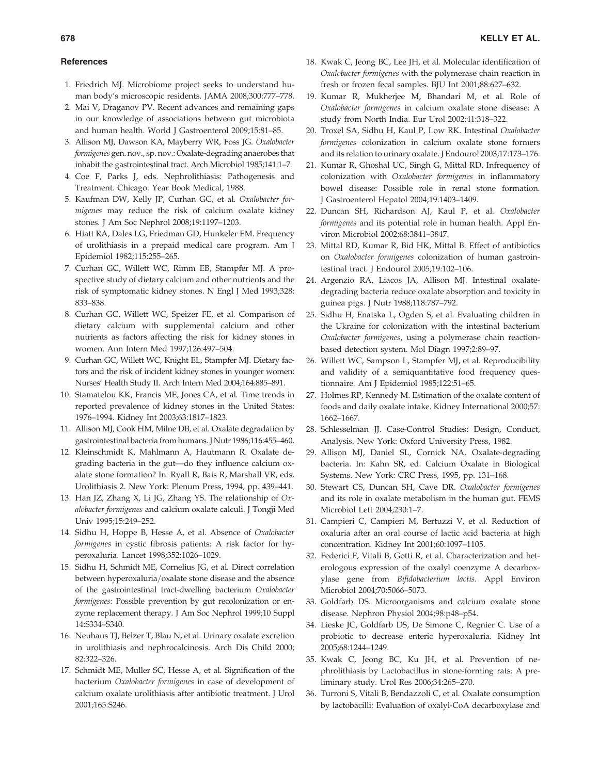### **References**

- 1. Friedrich MJ. Microbiome project seeks to understand human body's microscopic residents. JAMA 2008;300:777–778.
- 2. Mai V, Draganov PV. Recent advances and remaining gaps in our knowledge of associations between gut microbiota and human health. World J Gastroenterol 2009;15:81–85.
- 3. Allison MJ, Dawson KA, Mayberry WR, Foss JG. Oxalobacter formigenes gen. nov., sp. nov.: Oxalate-degrading anaerobes that inhabit the gastrointestinal tract. Arch Microbiol 1985;141:1–7.
- 4. Coe F, Parks J, eds. Nephrolithiasis: Pathogenesis and Treatment. Chicago: Year Book Medical, 1988.
- 5. Kaufman DW, Kelly JP, Curhan GC, et al. Oxalobacter formigenes may reduce the risk of calcium oxalate kidney stones. J Am Soc Nephrol 2008;19:1197–1203.
- 6. Hiatt RA, Dales LG, Friedman GD, Hunkeler EM. Frequency of urolithiasis in a prepaid medical care program. Am J Epidemiol 1982;115:255–265.
- 7. Curhan GC, Willett WC, Rimm EB, Stampfer MJ. A prospective study of dietary calcium and other nutrients and the risk of symptomatic kidney stones. N Engl J Med 1993;328: 833–838.
- 8. Curhan GC, Willett WC, Speizer FE, et al. Comparison of dietary calcium with supplemental calcium and other nutrients as factors affecting the risk for kidney stones in women. Ann Intern Med 1997;126:497–504.
- 9. Curhan GC, Willett WC, Knight EL, Stampfer MJ. Dietary factors and the risk of incident kidney stones in younger women: Nurses' Health Study II. Arch Intern Med 2004;164:885–891.
- 10. Stamatelou KK, Francis ME, Jones CA, et al. Time trends in reported prevalence of kidney stones in the United States: 1976–1994. Kidney Int 2003;63:1817–1823.
- 11. Allison MJ, Cook HM, Milne DB, et al. Oxalate degradation by gastrointestinal bacteria from humans. J Nutr 1986;116:455–460.
- 12. Kleinschmidt K, Mahlmann A, Hautmann R. Oxalate degrading bacteria in the gut—do they influence calcium oxalate stone formation? In: Ryall R, Bais R, Marshall VR, eds. Urolithiasis 2. New York: Plenum Press, 1994, pp. 439–441.
- 13. Han JZ, Zhang X, Li JG, Zhang YS. The relationship of Oxalobacter formigenes and calcium oxalate calculi. J Tongji Med Univ 1995;15:249–252.
- 14. Sidhu H, Hoppe B, Hesse A, et al. Absence of Oxalobacter formigenes in cystic fibrosis patients: A risk factor for hyperoxaluria. Lancet 1998;352:1026–1029.
- 15. Sidhu H, Schmidt ME, Cornelius JG, et al. Direct correlation between hyperoxaluria/oxalate stone disease and the absence of the gastrointestinal tract-dwelling bacterium Oxalobacter formigenes: Possible prevention by gut recolonization or enzyme replacement therapy. J Am Soc Nephrol 1999;10 Suppl 14:S334–S340.
- 16. Neuhaus TJ, Belzer T, Blau N, et al. Urinary oxalate excretion in urolithiasis and nephrocalcinosis. Arch Dis Child 2000; 82:322–326.
- 17. Schmidt ME, Muller SC, Hesse A, et al. Signification of the bacterium Oxalobacter formigenes in case of development of calcium oxalate urolithiasis after antibiotic treatment. J Urol 2001;165:S246.
- 18. Kwak C, Jeong BC, Lee JH, et al. Molecular identification of Oxalobacter formigenes with the polymerase chain reaction in fresh or frozen fecal samples. BJU Int 2001;88:627–632.
- 19. Kumar R, Mukherjee M, Bhandari M, et al. Role of Oxalobacter formigenes in calcium oxalate stone disease: A study from North India. Eur Urol 2002;41:318–322.
- 20. Troxel SA, Sidhu H, Kaul P, Low RK. Intestinal Oxalobacter formigenes colonization in calcium oxalate stone formers and its relation to urinary oxalate. J Endourol 2003;17:173–176.
- 21. Kumar R, Ghoshal UC, Singh G, Mittal RD. Infrequency of colonization with Oxalobacter formigenes in inflammatory bowel disease: Possible role in renal stone formation. J Gastroenterol Hepatol 2004;19:1403–1409.
- 22. Duncan SH, Richardson AJ, Kaul P, et al. Oxalobacter formigenes and its potential role in human health. Appl Environ Microbiol 2002;68:3841–3847.
- 23. Mittal RD, Kumar R, Bid HK, Mittal B. Effect of antibiotics on Oxalobacter formigenes colonization of human gastrointestinal tract. J Endourol 2005;19:102–106.
- 24. Argenzio RA, Liacos JA, Allison MJ. Intestinal oxalatedegrading bacteria reduce oxalate absorption and toxicity in guinea pigs. J Nutr 1988;118:787–792.
- 25. Sidhu H, Enatska L, Ogden S, et al. Evaluating children in the Ukraine for colonization with the intestinal bacterium Oxalobacter formigenes, using a polymerase chain reactionbased detection system. Mol Diagn 1997;2:89–97.
- 26. Willett WC, Sampson L, Stampfer MJ, et al. Reproducibility and validity of a semiquantitative food frequency questionnaire. Am J Epidemiol 1985;122:51–65.
- 27. Holmes RP, Kennedy M. Estimation of the oxalate content of foods and daily oxalate intake. Kidney International 2000;57: 1662–1667.
- 28. Schlesselman JJ. Case-Control Studies: Design, Conduct, Analysis. New York: Oxford University Press, 1982.
- 29. Allison MJ, Daniel SL, Cornick NA. Oxalate-degrading bacteria. In: Kahn SR, ed. Calcium Oxalate in Biological Systems. New York: CRC Press, 1995, pp. 131–168.
- 30. Stewart CS, Duncan SH, Cave DR. Oxalobacter formigenes and its role in oxalate metabolism in the human gut. FEMS Microbiol Lett 2004;230:1–7.
- 31. Campieri C, Campieri M, Bertuzzi V, et al. Reduction of oxaluria after an oral course of lactic acid bacteria at high concentration. Kidney Int 2001;60:1097–1105.
- 32. Federici F, Vitali B, Gotti R, et al. Characterization and heterologous expression of the oxalyl coenzyme A decarboxylase gene from Bifidobacterium lactis. Appl Environ Microbiol 2004;70:5066–5073.
- 33. Goldfarb DS. Microorganisms and calcium oxalate stone disease. Nephron Physiol 2004;98:p48–p54.
- 34. Lieske JC, Goldfarb DS, De Simone C, Regnier C. Use of a probiotic to decrease enteric hyperoxaluria. Kidney Int 2005;68:1244–1249.
- 35. Kwak C, Jeong BC, Ku JH, et al. Prevention of nephrolithiasis by Lactobacillus in stone-forming rats: A preliminary study. Urol Res 2006;34:265–270.
- 36. Turroni S, Vitali B, Bendazzoli C, et al. Oxalate consumption by lactobacilli: Evaluation of oxalyl-CoA decarboxylase and